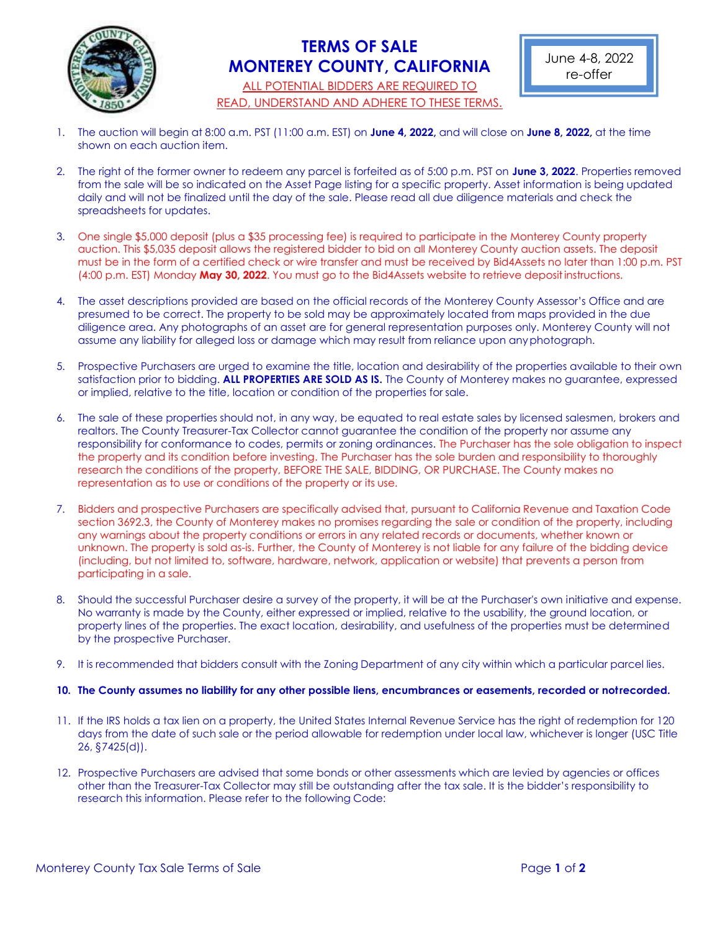

## **TERMS OF SALE MONTEREY COUNTY, CALIFORNIA**

ALL POTENTIAL BIDDERS ARE REQUIRED TO READ, UNDERSTAND AND ADHERE TO THESE TERMS.

- 1. The auction will begin at 8:00 a.m. PST (11:00 a.m. EST) on **June 4, 2022,** and will close on **June 8, 2022,** at the time shown on each auction item.
- 2. The right of the former owner to redeem any parcel is forfeited as of 5:00 p.m. PST on **June 3, 2022**. Properties removed from the sale will be so indicated on the Asset Page listing for a specific property. Asset information is being updated daily and will not be finalized until the day of the sale. Please read all due diligence materials and check the spreadsheets for updates.
- 3. One single \$5,000 deposit (plus a \$35 processing fee) is required to participate in the Monterey County property auction. This \$5,035 deposit allows the registered bidder to bid on all Monterey County auction assets. The deposit must be in the form of a certified check or wire transfer and must be received by Bid4Assets no later than 1:00 p.m. PST (4:00 p.m. EST) Monday **May 30, 2022**. You must go to the Bid4Assets website to retrieve depositinstructions.
- 4. The asset descriptions provided are based on the official records of the Monterey County Assessor's Office and are presumed to be correct. The property to be sold may be approximately located from maps provided in the due diligence area. Any photographs of an asset are for general representation purposes only. Monterey County will not assume any liability for alleged loss or damage which may result from reliance upon anyphotograph.
- 5. Prospective Purchasers are urged to examine the title, location and desirability of the properties available to their own satisfaction prior to bidding. **ALL PROPERTIES ARE SOLD AS IS.** The County of Monterey makes no guarantee, expressed or implied, relative to the title, location or condition of the properties for sale.
- 6. The sale of these properties should not, in any way, be equated to real estate sales by licensed salesmen, brokers and realtors. The County Treasurer-Tax Collector cannot guarantee the condition of the property nor assume any responsibility for conformance to codes, permits or zoning ordinances. The Purchaser has the sole obligation to inspect the property and its condition before investing. The Purchaser has the sole burden and responsibility to thoroughly research the conditions of the property, BEFORE THE SALE, BIDDING, OR PURCHASE. The County makes no representation as to use or conditions of the property or its use.
- 7. Bidders and prospective Purchasers are specifically advised that, pursuant to California Revenue and Taxation Code section 3692.3, the County of Monterey makes no promises regarding the sale or condition of the property, including any warnings about the property conditions or errors in any related records or documents, whether known or unknown. The property is sold as-is. Further, the County of Monterey is not liable for any failure of the bidding device (including, but not limited to, software, hardware, network, application or website) that prevents a person from participating in a sale.
- 8. Should the successful Purchaser desire a survey of the property, it will be at the Purchaser's own initiative and expense. No warranty is made by the County, either expressed or implied, relative to the usability, the ground location, or property lines of the properties. The exact location, desirability, and usefulness of the properties must be determined by the prospective Purchaser.
- 9. It is recommended that bidders consult with the Zoning Department of any city within which a particular parcel lies.

## **10. The County assumes no liability for any other possible liens, encumbrances or easements, recorded or notrecorded.**

- 11. If the IRS holds a tax lien on a property, the United States Internal Revenue Service has the right of redemption for 120 days from the date of such sale or the period allowable for redemption under local law, whichever is longer (USC Title 26, §7425(d)).
- 12. Prospective Purchasers are advised that some bonds or other assessments which are levied by agencies or offices other than the Treasurer-Tax Collector may still be outstanding after the tax sale. It is the bidder's responsibility to research this information. Please refer to the following Code: